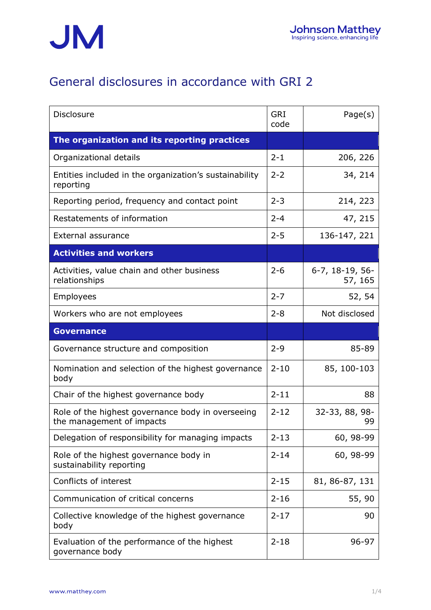

## General disclosures in accordance with GRI 2

| <b>Disclosure</b>                                                              | <b>GRI</b><br>code | Page(s)                    |
|--------------------------------------------------------------------------------|--------------------|----------------------------|
| The organization and its reporting practices                                   |                    |                            |
| Organizational details                                                         | $2 - 1$            | 206, 226                   |
| Entities included in the organization's sustainability<br>reporting            | $2 - 2$            | 34, 214                    |
| Reporting period, frequency and contact point                                  | $2 - 3$            | 214, 223                   |
| Restatements of information                                                    |                    | 47, 215                    |
| External assurance                                                             | $2 - 5$            | 136-147, 221               |
| <b>Activities and workers</b>                                                  |                    |                            |
| Activities, value chain and other business<br>relationships                    | $2 - 6$            | 6-7, 18-19, 56-<br>57, 165 |
| Employees                                                                      | $2 - 7$            | 52, 54                     |
| Workers who are not employees                                                  | $2 - 8$            | Not disclosed              |
| <b>Governance</b>                                                              |                    |                            |
| Governance structure and composition                                           | $2 - 9$            | 85-89                      |
| Nomination and selection of the highest governance<br>body                     | $2 - 10$           | 85, 100-103                |
| Chair of the highest governance body                                           | $2 - 11$           | 88                         |
| Role of the highest governance body in overseeing<br>the management of impacts | $2 - 12$           | 32-33, 88, 98-<br>99       |
| Delegation of responsibility for managing impacts                              | $2 - 13$           | 60, 98-99                  |
| Role of the highest governance body in<br>sustainability reporting             | $2 - 14$           | 60, 98-99                  |
| Conflicts of interest                                                          | $2 - 15$           | 81, 86-87, 131             |
| Communication of critical concerns                                             | $2 - 16$           | 55, 90                     |
| Collective knowledge of the highest governance<br>body                         | $2 - 17$           | 90                         |
| Evaluation of the performance of the highest<br>governance body                | $2 - 18$           | 96-97                      |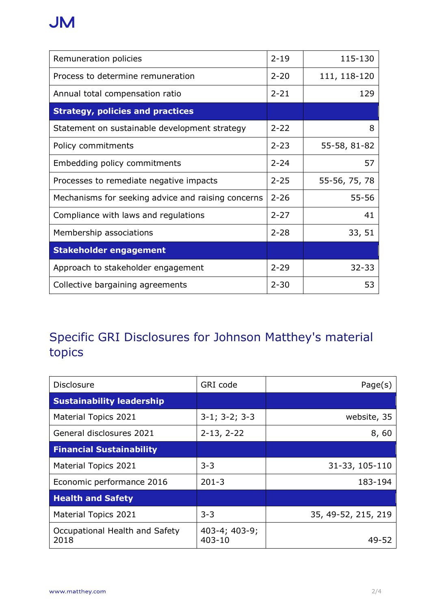## **JM**

| Remuneration policies                              | $2 - 19$ | 115-130       |
|----------------------------------------------------|----------|---------------|
| Process to determine remuneration                  | $2 - 20$ | 111, 118-120  |
| Annual total compensation ratio                    | $2 - 21$ | 129           |
| <b>Strategy, policies and practices</b>            |          |               |
| Statement on sustainable development strategy      | $2 - 22$ | 8             |
| Policy commitments                                 | $2 - 23$ | 55-58, 81-82  |
| Embedding policy commitments                       | $2 - 24$ | 57            |
| Processes to remediate negative impacts            | $2 - 25$ | 55-56, 75, 78 |
| Mechanisms for seeking advice and raising concerns | $2 - 26$ | 55-56         |
| Compliance with laws and regulations               | $2 - 27$ | 41            |
| Membership associations                            | $2 - 28$ | 33, 51        |
| <b>Stakeholder engagement</b>                      |          |               |
| Approach to stakeholder engagement                 | $2 - 29$ | $32 - 33$     |
| Collective bargaining agreements                   | $2 - 30$ | 53            |

## Specific GRI Disclosures for Johnson Matthey's material topics

| <b>Disclosure</b>                      | GRI code                          | Page(s)             |
|----------------------------------------|-----------------------------------|---------------------|
| <b>Sustainability leadership</b>       |                                   |                     |
| <b>Material Topics 2021</b>            | $3-1$ ; $3-2$ ; $3-3$             | website, 35         |
| General disclosures 2021               | $2-13, 2-22$                      | 8,60                |
| <b>Financial Sustainability</b>        |                                   |                     |
| <b>Material Topics 2021</b>            | $3 - 3$                           | 31-33, 105-110      |
| Economic performance 2016              | $201 - 3$                         | 183-194             |
| <b>Health and Safety</b>               |                                   |                     |
| <b>Material Topics 2021</b>            | $3 - 3$                           | 35, 49-52, 215, 219 |
| Occupational Health and Safety<br>2018 | $403-4$ ; $403-9$ ;<br>$403 - 10$ | 49-52               |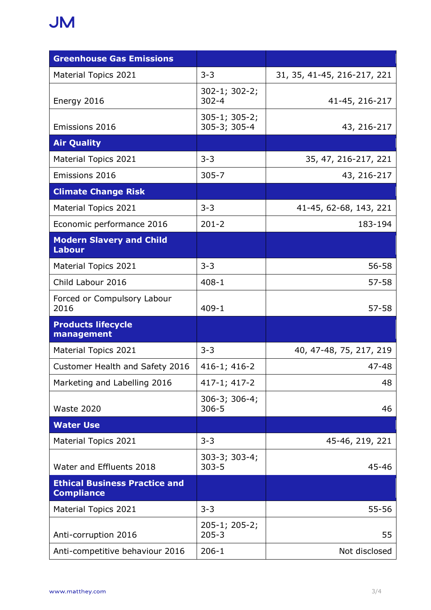## **JM**

| <b>Greenhouse Gas Emissions</b>                           |                                      |                             |
|-----------------------------------------------------------|--------------------------------------|-----------------------------|
| Material Topics 2021                                      | $3 - 3$                              | 31, 35, 41-45, 216-217, 221 |
| Energy 2016                                               | $302 - 1$ ; $302 - 2$ ;<br>$302 - 4$ | 41-45, 216-217              |
| Emissions 2016                                            | $305-1$ ; $305-2$ ;<br>305-3; 305-4  | 43, 216-217                 |
| <b>Air Quality</b>                                        |                                      |                             |
| Material Topics 2021                                      | $3 - 3$                              | 35, 47, 216-217, 221        |
| Emissions 2016                                            | $305 - 7$                            | 43, 216-217                 |
| <b>Climate Change Risk</b>                                |                                      |                             |
| <b>Material Topics 2021</b>                               | $3 - 3$                              | 41-45, 62-68, 143, 221      |
| Economic performance 2016                                 | $201 - 2$                            | 183-194                     |
| <b>Modern Slavery and Child</b><br><b>Labour</b>          |                                      |                             |
| Material Topics 2021                                      | $3 - 3$                              | $56 - 58$                   |
| Child Labour 2016                                         | $408 - 1$                            | $57 - 58$                   |
| Forced or Compulsory Labour<br>2016                       | $409 - 1$                            | $57 - 58$                   |
| <b>Products lifecycle</b><br>management                   |                                      |                             |
| <b>Material Topics 2021</b>                               | $3 - 3$                              | 40, 47-48, 75, 217, 219     |
| Customer Health and Safety 2016                           | 416-1; 416-2                         | $47 - 48$                   |
| Marketing and Labelling 2016                              | 417-1; 417-2                         | 48                          |
| <b>Waste 2020</b>                                         | $306-3$ ; $306-4$ ;<br>$306 - 5$     | 46                          |
| <b>Water Use</b>                                          |                                      |                             |
| Material Topics 2021                                      | $3 - 3$                              | 45-46, 219, 221             |
| Water and Effluents 2018                                  | $303-3; 303-4;$<br>$303 - 5$         | 45-46                       |
| <b>Ethical Business Practice and</b><br><b>Compliance</b> |                                      |                             |
| Material Topics 2021                                      | $3 - 3$                              | $55 - 56$                   |
| Anti-corruption 2016                                      | $205-1$ ; 205-2;<br>$205 - 3$        | 55                          |
| Anti-competitive behaviour 2016                           | $206 - 1$                            | Not disclosed               |